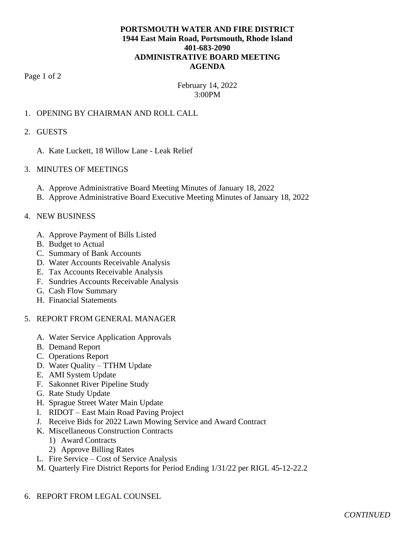# **PORTSMOUTH WATER AND FIRE DISTRICT 1944 East Main Road, Portsmouth, Rhode Island 401-683-2090 ADMINISTRATIVE BOARD MEETING AGENDA**

Page 1 of 2

# February 14, 2022 3:00PM

# 1. OPENING BY CHAIRMAN AND ROLL CALL

#### 2. GUESTS

A. Kate Luckett, 18 Willow Lane - Leak Relief

### 3. MINUTES OF MEETINGS

- A. Approve Administrative Board Meeting Minutes of January 18, 2022
- B. Approve Administrative Board Executive Meeting Minutes of January 18, 2022

#### 4. NEW BUSINESS

- A. Approve Payment of Bills Listed
- B. Budget to Actual
- C. Summary of Bank Accounts
- D. Water Accounts Receivable Analysis
- E. Tax Accounts Receivable Analysis
- F. Sundries Accounts Receivable Analysis
- G. Cash Flow Summary
- H. Financial Statements

#### 5. REPORT FROM GENERAL MANAGER

- A. Water Service Application Approvals
- B. Demand Report
- C. Operations Report
- D. Water Quality TTHM Update
- E. AMI System Update
- F. Sakonnet River Pipeline Study
- G. Rate Study Update
- H. Sprague Street Water Main Update
- I. RIDOT East Main Road Paving Project
- J. Receive Bids for 2022 Lawn Mowing Service and Award Contract
- K. Miscellaneous Construction Contracts
	- 1) Award Contracts
	- 2) Approve Billing Rates
- L. Fire Service Cost of Service Analysis
- M. Quarterly Fire District Reports for Period Ending 1/31/22 per RIGL 45-12-22.2
- 6. REPORT FROM LEGAL COUNSEL